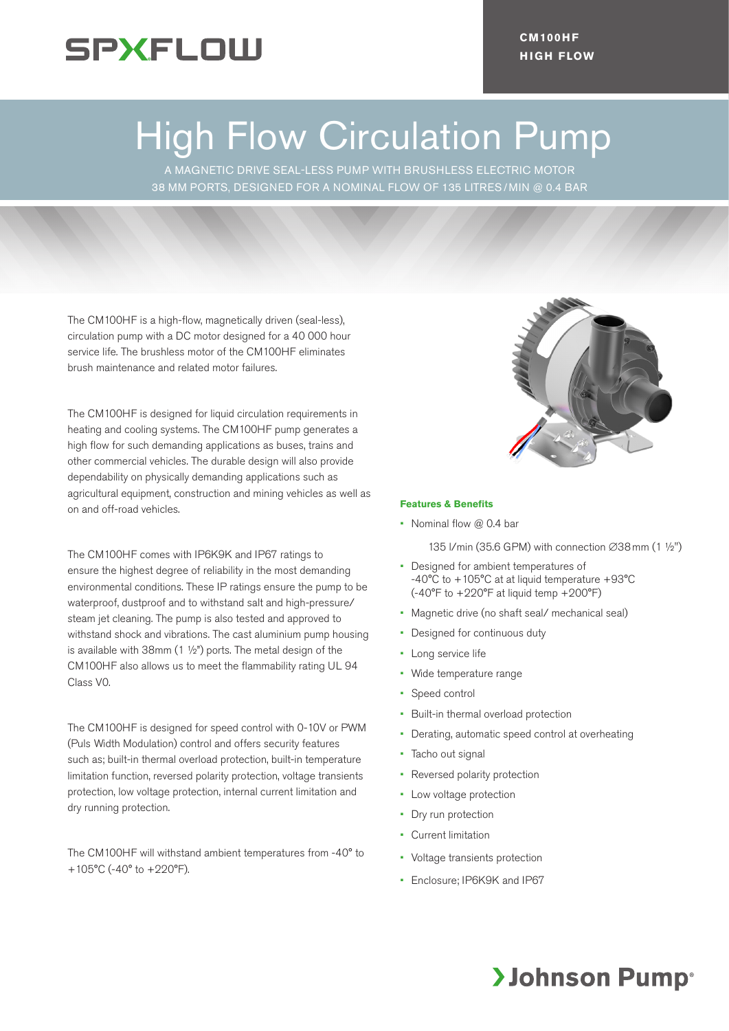

# High Flow Circulation Pump

A MAGNETIC DRIVE SEAL-LESS PUMP WITH BRUSHLESS ELECTRIC MOTOR 38 MM PORTS, DESIGNED FOR A NOMINAL FLOW OF 135 LITRES/ MIN @ 0.4 BAR

The CM100HF is a high-flow, magnetically driven (seal-less), circulation pump with a DC motor designed for a 40 000 hour service life. The brushless motor of the CM100HF eliminates brush maintenance and related motor failures.

The CM100HF is designed for liquid circulation requirements in heating and cooling systems. The CM100HF pump generates a high flow for such demanding applications as buses, trains and other commercial vehicles. The durable design will also provide dependability on physically demanding applications such as agricultural equipment, construction and mining vehicles as well as on and off-road vehicles.

The CM100HF comes with IP6K9K and IP67 ratings to ensure the highest degree of reliability in the most demanding environmental conditions. These IP ratings ensure the pump to be waterproof, dustproof and to withstand salt and high-pressure/ steam jet cleaning. The pump is also tested and approved to withstand shock and vibrations. The cast aluminium pump housing is available with 38mm (1 ½") ports. The metal design of the CM100HF also allows us to meet the flammability rating UL 94 Class V0.

The CM100HF is designed for speed control with 0-10V or PWM (Puls Width Modulation) control and offers security features such as; built-in thermal overload protection, built-in temperature limitation function, reversed polarity protection, voltage transients protection, low voltage protection, internal current limitation and dry running protection.

The CM100HF will withstand ambient temperatures from -40° to +105°C (-40° to +220°F).



#### **Features & Benefits**

• Nominal flow @ 0.4 bar

135 l/min (35.6 GPM) with connection ∅38mm (1 ½")

- Designed for ambient temperatures of -40°C to +105°C at at liquid temperature +93°C (-40°F to +220°F at liquid temp +200°F)
- Magnetic drive (no shaft seal/ mechanical seal)
- Designed for continuous duty
- Long service life
- Wide temperature range
- Speed control
- Built-in thermal overload protection
- Derating, automatic speed control at overheating
- Tacho out signal
- Reversed polarity protection
- Low voltage protection
- Dry run protection
- Current limitation
- Voltage transients protection
- Enclosure; IP6K9K and IP67